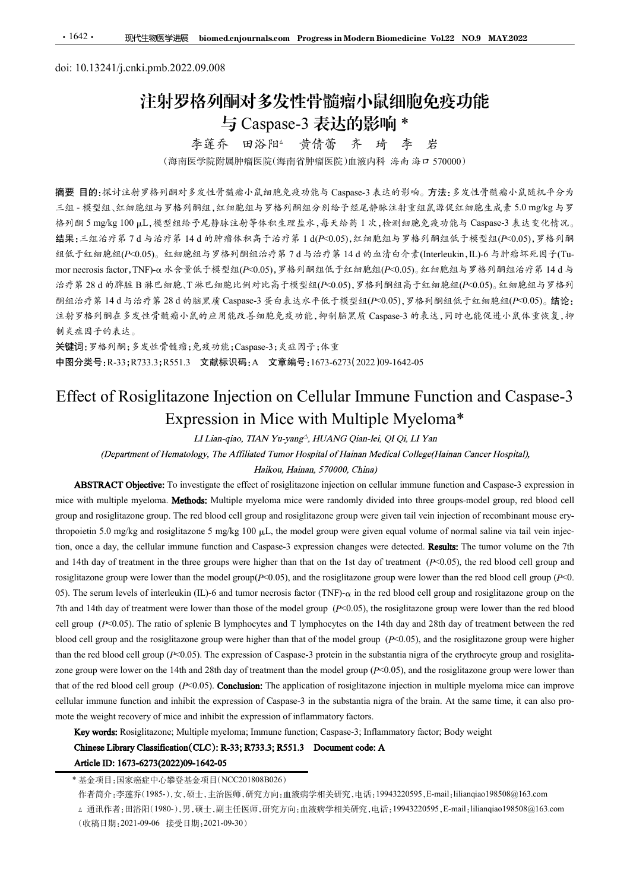# ·1642· 现代生物医学进展 biomed.cnjournals.com Progress in Modern Biomedicin<br>doi: 10.13241/j.cnki.pmb.2022.09.008<br>注射罗格列酮对多发性骨髓瘤小鼠细胞<br>与 Caspase-3 表达的影响 \* 注射罗格列酮对多发性骨髓瘤小鼠细胞免疫功能 与 Caspase-3 表达的影响 \*<br><sub>李莲乔 田浴阳</sub> <sub>黄倩蕾 齐 琦 李 岩</sub>

李莲乔 田浴 阳<sup>。</sup>黄倩蕾 齐 琦 李 岩<br>(海南医学院附属肿瘤医院(海南省肿瘤医院)血液内科 海南 海ロ 570000)

摘要 目的:探讨注射罗格列酮对多发性骨髓瘤小鼠细胞免疫功能与 Caspase-3 表达的影响。方法:多发性骨髓瘤小鼠随机平分为 三组 - 模型组、红细胞组与罗格列酮组,红细胞组与罗格列酮组分别给予经尾静脉注射重组鼠源促红细胞生成素 5.0 mg/kg 与罗 1.642. **现代生物医学选展 biomedicnjournals.com Progress.in Modern Biomedicine Vol.22 NO.9 MAY2022<br>doi: 10.13241/j.cnki.pmb.2022.09.008<br><b>注射罗格列间对多发性骨髓瘤小鼠侧部,影响**<br>与 Caspase-3 表达的影响 \*<br>养莲乔 四谷阿\* 黄春蕾 齐 琦 李 岩<br>(海南医学能断周脚瘤医院/海南管膜医院血液内移 渗透 光下 • 1642 • 职性物医学膜 Momedertjournals.com Progress in Modern Blomedicine Vol.22 NO.9 MAY2022<br>
doi: 10.13241/j.cnki.pmb.2022.09.008<br>
<br> **注射罗格列酮对多发生骨髓瘤小鼠细胞与期间和多变可能**<br>
李莲乔 田浴阳<sup>2</sup> 黄倩蕾 齐 琦 李岩<br>
(海南区学院周围神座院海南部部院院直通内科海山海道、万体生产发生产链分类生产能 组低于红细胞组(P<0.05)。红细胞组与罗格列酮组治疗第 7 d 与治疗第 14 d 的血清白介素(Interleukin,IL)-6 与肿瘤坏死因子(Tu- mor necrosis factor,TNF)-<sup>琢</sup> 水含量低于模型组(P<0.05),罗格列酮组低于红细胞组(P<0.05)。红细胞组与罗格列酮组治疗第 14 d <sup>与</sup> 治疗第 28 d 的脾脏 <sup>B</sup> 淋巴细胞、<sup>T</sup> 淋巴细胞比例对比高于模型组(P<0.05),罗格列酮组高于红细胞组(P<0.05)。红细胞组与罗格列 1642. 职性物医物理 biomedication multicerom Progress in Modern Riomedicine Vol.22 NO9 MAY2022<br>
00: 10.13241/j.enki.pmb.2022.09.008<br>
<sup>2</sup> **11: 14 37 K4 6/1 fill 对 多发性:骨髓瘤小鼠細胞 2012.01 file<br>
4 毫不 的器 14 d 公司 计算机 - 黄信蒂 齐 琦 李 若<br>
(常在、** 注射罗格列酮在多发性骨髓瘤小鼠的应用能改善细胞免疫功能,抑制脑黑质 Caspase-3 的表达,同时也能促进小鼠体重恢复,抑 制炎症因子的表达。 **Effect of Rosiglitazone Injection on Cellular Immune Function and Caspase-3**<br>
Effect of Rosiglitazone Injection on Cellular Immune Function and Caspase-3<br>
Effect of Rosiglitazone Injection on Cellular Immune Function an Expression in Mice with Multiple Myeloma\* To investigate the effect of rosiglitazone injection on cellular immune function and Caspase-3 expression in **For the multiple myeloma.** The myeloma. The median of the main of the main of the main of the main of the myeloma. Multiple myeloma. Multiple myeloma microssis factor, The myeloma microssis factor of the myeloma. Multip

关键词:罗格列酮;多发性骨髓瘤;免疫功能;Caspase-3;炎症因子;体重 中图分类号:R-33;R733.3;R551.3 文献标识码:A 文章编号:1673-6273(2022)09-1642-05

group. The rosiglitazone Group and rosiglitazone group. The red blood cell group and rosiglitatione group were the red blood cell group (F-G) and the red blood cell group (F-G) and definite and opposite in the change of R thropoienting 3.0 magnification 5.0 mg/kg and respect to the model group and resident and the model group in the model group in the model group in the model group in the model group in the model group in the model group tion, once a day, the cellular immune function and Caspase-3 expression changes were detected. The tumor volume on the 7th and 14th day of the set in the treatment in the treatment is the treatment in the treatment in the treatment is the treatment in the treatment in the treatment of the treatment of the treatment of the treatment in the tre **Provides and the model group were lower than the model group were lower than the model group were lower than the model group were lower than the model group were lower than the model group were lower than the model grou Expression in** the serum levels of interleuking and tumor of interleuking interleuking the serues of interleuking the serues of interleuking the serues of interleuking the serues of the serues of the serues of the serue  $W \gg \mathbb{R}^n \times \mathbb{R}^n \rightarrow \ell^m \times \mathbb{R}^n$ ,  $\ell^m \gg \mathbb{R}^n$  and  $\ell^m \gg \ell^m$  and  $\ell^m \gg \ell^m$  and  $\ell^m \gg \ell^m$  and  $\ell^m \gg \ell^m$  and  $\ell^m \gg \ell^m \gg \ell^m$  and  $\ell^m \gg \ell^m \gg \ell^m$  and  $\ell^m \gg \ell^m \gg \ell^m \gg \ell^m$  and  $\ell^m \gg \ell^m \gg \ell$ **CEFICECT OF ROSSILE 20.02 SCENT (Proference)** (New Transfer and Caspace 3 (New York Day 1973-27312022109-1642-05<br> **EFFICET Of ROSSiglitzZONE Injection on Cellular Immune Function and Caspasc-3**<br>
Expression in Mice with M **Effect of Rosiglitazone Injection on Cellular Immune Function and Caspase-3**<br>Expression in Mice with Multiple Myeloma\*<br> *(Department of Heanabogy, The Arthugage, IIUANG Genetic Of Qi, LI Yan<br>
(Department of Heanabogy, Th* Effect of Rosiglitazone Injection on Cellular Immune Function and Caspase-3<br>Expression in Micc with Multiple Mycloma\*<br>Interaction and Caspase-3<br>Expression in Micc with Multiple Mycloma\*<br>Interaction and  $\frac{1}{2}$ <br>(Departme **EXPICESSION IN MICE WITH MUITEDE MyClOMTA\***<br> *LHam-qino, TIAN Yu-yang', HUANG Qinn-ki, QI Qi. LI Yan<br>
(Department of Hennatology, The Affiliased Tunore Hospital).*<br> **ABSTRACT Objective:** To investigate the effect of rosi CEN) contract into the expression and *Characteria and interesting and the expression of Caspase-3 in the case of Caspase-3 in the expression in the expression of Caspase-3 in the substantia of the expression of Caspase-3* **ABSTRACT Objective:** To investigate the ffective of resiglitazone injection on cellulat innume function and experimentation; In most with multiple myeloma; Incidential most were absorped algo and resiglitazone; Supplying

作者简介:李莲乔(1985-),女,硕士,主治医师,研究方向:血液病学相关研究,电话:19943220595,E-mail:lilianqiao198508@163.com

△ 通讯作者:田浴阳(1980-),男,硕士,副主任医师,研究方向:血液病学相关研究,电话:19943220595,E-mail:lilianqiao198508@163.com (收稿日期:2021-09-06 接受日期:2021-09-30)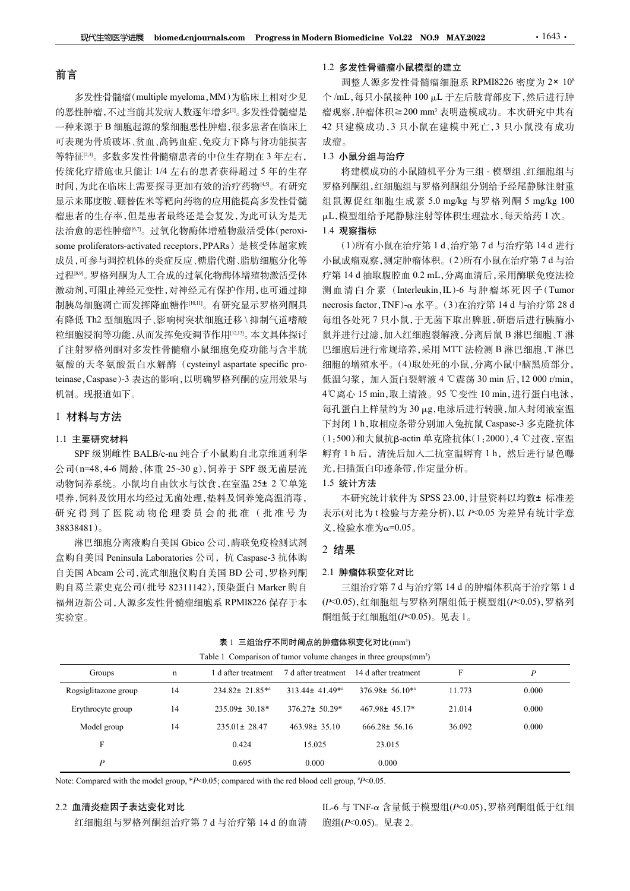# 前言

现代生物医学进展 biomed.cnjournals.com Progress in Modern Biomedicine Vol.22 NO.9 MAY.2022<br>
<br>
<br>
<br>
<br>
<br>
<br>
<br>
多发性骨髓瘤(multiple myeloma,MM)为临床上相对少见 个/mL,每只小鼠接种 100 μL 于左后肢背部皮<br>
<br>
<br>
生肿瘤,不过当前其发病人数逐年增多<sup>u</sup>。多发性骨髓瘤是 瘤观察,肿瘤体积≥200 mm'表明造模成功。本<br><br> 的恶性肿瘤,不过当前其发病人数逐年增多[1]。多发性骨髓瘤是 一种来源于 B 细胞起源的浆细胞恶性肿瘤,很多患者在临床上 可表现为骨质破坏、贫血、高钙血症、免疫力下降与肾功能损害 等特征[23]。多数多发性骨髓瘤患者的中位生存期在 3 年左右, 传统化疗措施也只能让 1/4 左右的患者获得超过 5 年的生存 时间,为此在临床上需要探寻更加有效的治疗药物[45]。有研究 显示来那度胺、硼替佐米等靶向药物的应用能提高多发性骨髓 组鼠源促红细胞生成素 5.0 mg/kg 与罗格列酮 5 mg/kg 100 瘤患者的生存率,但是患者最终还是会复发,为此可认为是无 法治愈的恶性肿瘤[6,7]。过氧化物酶体增殖物激活受体(peroxi- some proliferators-activated receptors,PPARs)是核受体超家族 成员,可参与调控机体的炎症反应、糖脂代谢、脂肪细胞分化等 小鼠成瘤观察,测定肿瘤体积。(2)所有小鼠在治疗第7d与治 过程<sup>[8]</sup>。罗格列酮为人工合成的过氧化物酶体增殖物激活受体 疗第 14 d 抽取腹腔血 0.2 mL,分离血清后,采用酶联免疫法检 激动剂,可阻止神经元变性,对神经元有保护作用,也可通过抑 制胰岛细胞凋亡而发挥降血糖作[<sup>00,11</sup>]。有研究显示罗格列酮具 necrosis factor, TNF)-α 水平。(3)在治疗第 14 d 与治疗第 28 d 有降低 Th2 型细胞因子、影响树突状细胞迁移 \ 抑制气道嗜酸 粒细胞浸润等功能,从而发挥免疫调节作用[12,13]。本文具体探讨 了注射罗格列酮对多发性骨髓瘤小鼠细胞免疫功能与含半胱  $\label{th:20} \begin{split} \delta \mathcal{R}^{\mathbb{R}}\oplus \mathcal{R}^{\mathbb{R}}\oplus \mathcal{R}^{\mathbb{R}}\oplus \mathcal{R}^{\mathbb{R}}\oplus \mathcal{R}^{\mathbb{R}}\oplus \mathcal{R}^{\mathbb{R}}\oplus \mathcal{R}^{\mathbb{R}}\oplus \mathcal{R}^{\mathbb{R}}\oplus \mathcal{R}^{\mathbb{R}}\oplus \mathcal{R}^{\mathbb{R}}\oplus \mathcal{R}^{\mathbb{R}}\oplus \mathcal{R}^{\mathbb{R}}\oplus \mathcal{R}^{\mathbb{$ teinase, Caspase)-3 表达的影响,以明确罗格列酮的应用效果与 低温匀浆, 加入蛋白裂解液 4 ℃震荡 30 min 后, 12 000 r/min, 机制。现报道如下。 公司(n=48,4-6 周龄,体重 25~30 g),饲养于 SPF 级无菌层流

# 1 材料与方法

## 1.1 主要研究材料

#### 1.2 多发性骨髓瘤小鼠模型的建立

调整人源多发性骨髓瘤细胞系 RPMI8226 密度为 2× 108 个/mL,每只小鼠接种 100 µL 于左后肢背部皮下,然后进行肿 ern Biomedicine Vol22 NO.9 MAY.2022 · 1643 ·<br>1.2 多发性骨髓瘤小鼠模型的建立<br>调整人源多发性骨髓瘤细胞系 RPMI8226 密度为 2× 10<sup>8</sup><br>个 /mL,每只小鼠接种 100 μL 于左后肢背部皮下,然后进行肿<br>瘤观察,肿瘤体积≧200 mm<sup>3</sup>表明造模成功。本次研究中共有<br>42 只建模成功, 3 只小鼠在建模中死亡, 3 只小鼠没有成功<br>成瘤。<br>1.3 **小鼠分组与治疗**<br>将 瘤观察,肿瘤体积≧200 mm<sup>3</sup> 表明造模成功。本次研究中共有 42 只建模成功,3 只小鼠在建模中死亡,3 只小鼠没有成功 成瘤。 rn Biomedicine Vol.22 NO.9 MAY.2022 - 1643 - 1643 - 17<br>1.2 多发性骨髓瘤小鼠模型的建立<br>湖整人源多发性骨髓瘤细胞系 RPMI8226 密度为 2× 10<sup>8</sup><br>个 /mL,每只小鼠接种 100 μL 于左后肢背部皮下,然后进行肿<br>瘤观察,肿瘤体积 = 200 mm<sup>,</sup>表明造模成功。本次研究中共有<br>42 只建模成功,3 只小鼠在建模中死亡,3 只小鼠没有成功<br>成瘤。<br>1.3 小

# 1.3 小鼠分组与治疗

将建模成功的小鼠随机平分为三组 - 模型组、红细胞组与 罗格列酮组,红细胞组与罗格列酮组分别给予经尾静脉注射重 滋L,模型组给予尾静脉注射等体积生理盐水,每天给药 1 次。

## 1.4 观察指标

SPF 级别雌性 BALB/c-nu 纯合子小鼠购自北京维通利华 盒购自美国 Peninsula Laboratories 公司,抗 Caspase-3 抗体购 3iomedicine Vol.22 NO.9 MAY.2022<br>
多发性骨髓瘤小鼠模型的建立<br>
調整人源多能性骨髓瘤細胞系 RPMI8226 密度为 2x 10<sup>8</sup><br>
調整人源多发性骨髓瘤細胞系 RPMI8226 密度为 2x 10<sup>8</sup><br>
mL、每只小鼠接种 100 μL 于左后肢背部皮下,然后进行肿<br>
mL、每只小鼠接种 100 μL 于左后肢背部皮下,然后进行肿<br>
<br><br><br><br><br><br><br><br><br>模式 机构模式 - <br><br><br><br><br><br><br><br><br><br><br><br> **zm Biomedicine Vo122 NO.9 MAY.2022 11:43 · 1643 · 1643 · 1643 · 17<br>1.2 多发性骨髓瘤小鼠模型的建立<br>
个 /mL,每只小鼠接种 100 μL 于左后肢背部皮下,然后进行肿<br>
个 /mL,每只小鼠接种 100 μL 于左后肢背部皮下,然后进行肿<br>瘤观察,肿瘤体积≧200 mm<sup>,</sup>表明造模成功。本次研究中共有<br>
<b>42 只建模成功,3 只小鼠在建模中死亡, zm Biomedicine Vo122 NO.9 MAY.2022 19.** 1643 ·<br>1.2 多发性骨髓瘤小鼠模型的建立<br>
个 mL,每只小鼠接种 100 μL 于左后肢背部皮下,然后进行肿<br>
作 mL,每只小鼠接种 100 μL 于左后肢背部皮下,然后进行肿<br>瘤观察,肿瘤体积≥200 mm<sup>,</sup>表明造模成功。本次研究中共有<br><br>2.只建模成功,3 只小鼠在建模中死亡,3 只小鼠没有成功<br>
成瘤。<br>
水鼠分组与治疗<br>
将動態化 测血清白介素 (Interleukin,IL)-6 与肿瘤坏死因子(Tumor **rm Biomedicine Vol.22 NO.9 MAY.2022 1643 - 1643 - 17<br>
1.2 多发性骨髓瘤小鼠模型的建立<br>
调整人源多发性骨髓瘤细胞系 RPMI8226 密度为 2× 10<sup>8</sup><br>
海人、源多发性骨髓瘤细胞系 RPMI8226 密度为 2× 10<sup>8</sup><br>
海人、卵体限定200 mm<sup>,</sup> 表明造模成功。本次研究中共有<br>
缩聚, 肿瘤体积三200 mm<sup>,</sup> 表明造模成功。本次研究中共有<br>
42 只** 每组各处死 7 只小鼠,于无菌下取出脾脏,研磨后进行胰酶小 鼠并进行过滤,加入红细胞裂解液,分离后鼠 B 淋巴细胞、T 淋 巴细胞后进行常规培养,采用 MTT 法检测 B 淋巴细胞、T 淋巴 细胞的增殖水平。(4)取处死的小鼠,分离小鼠中脑黑质部分, 瘤观察,肿瘤体积2200 mm,表明造模成功。本次研究中共有<br>22 只建模成功:5 只小鼠在建模中死亡,3 只小鼠没有成功<br>成瘤。<br>6 成分组与治疗<br>前列腺组与罗格列酮组分别给予经尾静脉注射重<br>2 感染模型结合不同能进行分裂,4 min, 4 %型格列酮5 mg/kg 100<br>半相对照相组由生成素 5.0 mg/kg 与罗格列酮5 mg/kg 100<br>4 根型模似功的小鼠随机平分为三组,模型相对。14 进行<br>4 取象指标本最在治疗第1 每孔蛋白上样量约为 30 μg,电泳后进行转膜,加入封闭液室温 下封闭 1 h,取相应条带分别加入兔抗鼠 Caspase-3 多克隆抗体 (1:500)和大鼠抗茁-actin 单克隆抗体(1:2000),4 ℃过夜,室温 罗格列酮组、红细胞组与罗格列酯组分别给予经尾静脉注射重<br>组鼠源促红细胞生成素 5.0 mg/kg 与罗格列酮 5 mg/kg 100<br>14.模型组特予尾静脉注射等体积生理盐水,每天给药 1 次。<br>1.4 观察指标 - 小院在治疗第 1 d、治疗第 7 d 与治疗第 1 d d 进行<br>1.4 观察指标 - 航在治疗第 1 d、治疗第 7 d 与治疗第 1 d 进行<br>1.4 观察测定肿瘤体积。(2)所有小鼠在治疗第 7 d 与治疗<br>疗第 光,扫描蛋白印迹条带,作定量分析。 观察指标<br>(1)所有小鼠在治疗第14、治疗第74与治疗第144进行<br>成瘤观察、测定肿瘤体积。(2)所有小鼠在治疗第74与治<br>最前观察、测定肿瘤体积。(2)所有小鼠在治疗第74与液体检<br>144抽取腹腔血 0.2 mL分离血清,采用酶联免疫法检<br>issi factor, TNF)-α水平。(3)在治疗第144 与解联因因子(Tumor<br>issi factor, TNF)-α水平。(3)在治疗第144 与治疗第2<br>各处死7 只小鼠,于无菌下 各处死7 只小鼠,于无菌下取出脾脏,研磨后进行胰酶小<br>进行过滤,加入红细胞裂解液,分离后鼠B 淋巴细胞,T 淋巴,<br>胞后进行常规培养,采用 MTT 法检测 B 淋巴细胞,T 淋巴细胞,T 淋巴细胞, T 神巴细胞, T 计<br>电气计常规培养,采用 MTT 法检测 B 淋巴细胞, T 淋巴<br>均增殖水平。(4)取处死的小鼠, 分离小鼠中脑黑质部分,<br>5分 15 min, 取上清液。95 ℃变性 10 min, 进行蛋白电泳,<br>蛋白上样量约为

## 1.5 统计方法

## 2 结果

#### 2.1 肿瘤体积变化对比

| 4℃离心 15 min, 取上清液。95 ℃变性 10 min, 进行蛋白电泳,<br>机制。现报道如下。<br>每孔蛋白上样量约为 30 μg,电泳后进行转膜,加入封闭液室温<br>1 材料与方法<br>下封闭 1 h, 取相应条带分别加入兔抗鼠 Caspase-3 多克隆抗体<br>(1:500)和大鼠抗β-actin 单克隆抗体(1:2000),4 ℃过夜,室温<br>1.1 主要研究材料<br>孵育1h后, 清洗后加入二抗室温孵育1h, 然后进行显色曝<br>SPF 级别雌性 BALB/c-nu 纯合子小鼠购自北京维通利华<br>光,扫描蛋白印迹条带,作定量分析。<br>公司(n=48,4-6 周龄,体重 25~30 g), 饲养于 SPF 级无菌层流<br>动物饲养系统。小鼠均自由饮水与饮食,在室温 25± 2 ℃单笼<br>1.5 统计方法<br>本研究统计软件为 SPSS 23.00, 计量资料以均数± 标准差<br>喂养,饲料及饮用水均经过无菌处理,垫料及饲养笼高温消毒,<br>表示(对比为t 检验与方差分析), 以 P<0.05 为差异有统计学意<br>研究得到了医院动物伦理委员会的批准(批准号为<br>义,检验水准为α=0.05。<br>38838481)。<br>淋巴细胞分离液购自美国 Gbico 公司,酶联免疫检测试剂 |
|------------------------------------------------------------------------------------------------------------------------------------------------------------------------------------------------------------------------------------------------------------------------------------------------------------------------------------------------------------------------------------------------------------------------------------------------------------------------------------------------------------------------------------------------------------------------------------------------------|
|                                                                                                                                                                                                                                                                                                                                                                                                                                                                                                                                                                                                      |
|                                                                                                                                                                                                                                                                                                                                                                                                                                                                                                                                                                                                      |
|                                                                                                                                                                                                                                                                                                                                                                                                                                                                                                                                                                                                      |
|                                                                                                                                                                                                                                                                                                                                                                                                                                                                                                                                                                                                      |
|                                                                                                                                                                                                                                                                                                                                                                                                                                                                                                                                                                                                      |
|                                                                                                                                                                                                                                                                                                                                                                                                                                                                                                                                                                                                      |
|                                                                                                                                                                                                                                                                                                                                                                                                                                                                                                                                                                                                      |
|                                                                                                                                                                                                                                                                                                                                                                                                                                                                                                                                                                                                      |
|                                                                                                                                                                                                                                                                                                                                                                                                                                                                                                                                                                                                      |
| 2 结果                                                                                                                                                                                                                                                                                                                                                                                                                                                                                                                                                                                                 |
| 盒购自美国 Peninsula Laboratories 公司, 抗 Caspase-3 抗体购                                                                                                                                                                                                                                                                                                                                                                                                                                                                                                                                                     |
| 自美国 Abcam 公司, 流式细胞仪购自美国 BD 公司, 罗格列酮<br>2.1 肿瘤体积变化对比                                                                                                                                                                                                                                                                                                                                                                                                                                                                                                                                                  |
| 购自葛兰素史克公司(批号 82311142), 预染蛋白 Marker 购自<br>三组治疗第7d与治疗第14d的肿瘤体积高于治疗第1d<br>福州迈新公司,人源多发性骨髓瘤细胞系 RPMI8226 保存于本                                                                                                                                                                                                                                                                                                                                                                                                                                                                                             |
| (P<0.05), 红细胞组与罗格列酮组低于模型组(P<0.05), 罗格列<br>酮组低于红细胞组(P<0.05)。见表 1。<br>实验室。                                                                                                                                                                                                                                                                                                                                                                                                                                                                                                                             |
|                                                                                                                                                                                                                                                                                                                                                                                                                                                                                                                                                                                                      |
| 表 1 三组治疗不同时间点的肿瘤体积变化对比(mm <sup>3</sup> )                                                                                                                                                                                                                                                                                                                                                                                                                                                                                                                                                             |
| Table 1 Comparison of tumor volume changes in three groups(mm <sup>3</sup> )                                                                                                                                                                                                                                                                                                                                                                                                                                                                                                                         |
| $\mathbf{F}$<br>1 d after treatment<br>7 d after treatment 14 d after treatment<br>$\overline{P}$<br>Groups<br>$\mathbf n$                                                                                                                                                                                                                                                                                                                                                                                                                                                                           |
| Rogsiglitazone group<br>234.82± 21.85**<br>313.44± 41.49**<br>376.98± 56.10**<br>14<br>11.773<br>0.000                                                                                                                                                                                                                                                                                                                                                                                                                                                                                               |
| Erythrocyte group<br>235.09± 30.18*<br>376.27± 50.29*<br>467.98± 45.17*<br>21.014<br>0.000<br>14                                                                                                                                                                                                                                                                                                                                                                                                                                                                                                     |
| 36.092<br>0.000<br>Model group<br>14<br>235.01± 28.47<br>$463.98 \pm 35.10$<br>$666.28 \pm 56.16$                                                                                                                                                                                                                                                                                                                                                                                                                                                                                                    |
| $\mathbf{F}$<br>0.424<br>15.025<br>23.015                                                                                                                                                                                                                                                                                                                                                                                                                                                                                                                                                            |
| $\boldsymbol{P}$<br>0.695<br>0.000<br>0.000                                                                                                                                                                                                                                                                                                                                                                                                                                                                                                                                                          |

# 2.2 血清炎症因子表达变化对比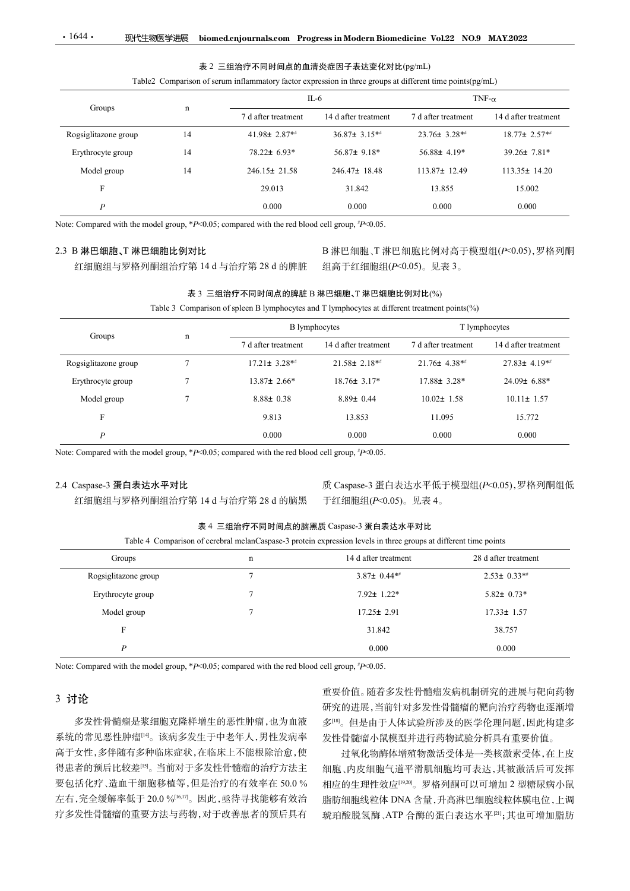### 表 2 三组治疗不同时间点的血清炎症因子表达变化对比(pg/mL)

|  | ble2 Comparison of serum inflammatory factor expression in three groups at different time points $(pg/mL)$ |  |  |  |  |  |
|--|------------------------------------------------------------------------------------------------------------|--|--|--|--|--|
|  |                                                                                                            |  |  |  |  |  |

| $\cdot$ 1644 $\cdot$<br>现代生物医学进展                                                               |                 | biomed.cnjournals.com Progress in Modern Biomedicine Vol.22 NO.9 MAY.2022                                                              |                       |                     |                                     |
|------------------------------------------------------------------------------------------------|-----------------|----------------------------------------------------------------------------------------------------------------------------------------|-----------------------|---------------------|-------------------------------------|
|                                                                                                |                 |                                                                                                                                        |                       |                     |                                     |
|                                                                                                |                 | 表 2 三组治疗不同时间点的血清炎症因子表达变化对比(pg/mL)                                                                                                      |                       |                     |                                     |
|                                                                                                |                 | Table2 Comparison of serum inflammatory factor expression in three groups at different time points(pg/mL)                              |                       |                     |                                     |
| Groups                                                                                         | $\mathbf n$     |                                                                                                                                        | $IL-6$                |                     | TNF- $\alpha$                       |
|                                                                                                |                 | 7 d after treatment                                                                                                                    | 14 d after treatment  | 7 d after treatment | 14 d after treatment                |
| Rogsiglitazone group                                                                           | 14              | 41.98± $2.87**$                                                                                                                        | $36.87 \pm 3.15**$    | 23.76± 3.28**       | 18.77± 2.57* <sup>*</sup>           |
| Erythrocyte group                                                                              | 14              | 78.22± 6.93*                                                                                                                           | $56.87 \pm 9.18*$     | $56.88 \pm 4.19*$   | $39.26 \pm 7.81*$                   |
| Model group                                                                                    | 14              | $246.15 \pm 21.58$                                                                                                                     | 246.47± 18.48         | 113.87± 12.49       | $113.35 \pm 14.20$                  |
| $\mathbf F$                                                                                    |                 | 29.013                                                                                                                                 | 31.842                | 13.855              | 15.002                              |
| $\boldsymbol{P}$                                                                               |                 | 0.000                                                                                                                                  | 0.000                 | 0.000               | 0.000                               |
| Note: Compared with the model group, *P<0.05; compared with the red blood cell group, *P<0.05. |                 |                                                                                                                                        |                       |                     |                                     |
| 2.3 B 淋巴细胞、T 淋巴细胞比例对比                                                                          |                 |                                                                                                                                        |                       |                     | B 淋巴细胞、T 淋巴细胞比例对高于模型组(P<0.05), 罗格列酮 |
|                                                                                                |                 | 红细胞组与罗格列酮组治疗第14d与治疗第28d的脾脏                                                                                                             | 组高于红细胞组(P<0.05)。见表 3。 |                     |                                     |
|                                                                                                |                 |                                                                                                                                        |                       |                     |                                     |
|                                                                                                |                 | 表 3 三组治疗不同时间点的脾脏 B 淋巴细胞、T 淋巴细胞比例对比(%)<br>Table 3 Comparison of spleen B lymphocytes and T lymphocytes at different treatment points(%) |                       |                     |                                     |
|                                                                                                |                 |                                                                                                                                        |                       |                     |                                     |
| Groups                                                                                         | $\mathbf n$     |                                                                                                                                        | <b>B</b> lymphocytes  |                     | T lymphocytes                       |
|                                                                                                |                 | 7 d after treatment                                                                                                                    | 14 d after treatment  | 7 d after treatment | 14 d after treatment                |
| Rogsiglitazone group                                                                           | $7\phantom{.0}$ | $17.21 \pm 3.28$ **                                                                                                                    | $21.58 \pm 2.18**$    | $21.76 \pm 4.38**$  | $27.83 \pm 4.19**$                  |
| Erythrocyte group                                                                              | $\tau$          | 13.87± 2.66*                                                                                                                           | 18.76± 3.17*          | 17.88± 3.28*        | 24.09± 6.88*                        |
|                                                                                                | $7\phantom{.0}$ | $8.88 \pm 0.38$                                                                                                                        | $8.89 \pm 0.44$       | $10.02 \pm 1.58$    | $10.11 \pm 1.57$                    |
| Model group                                                                                    |                 |                                                                                                                                        |                       |                     |                                     |

|                                                                                                      |                 |                                                                                                                                                          | $IL-6$                | TNF- $\alpha$       |                                        |  |
|------------------------------------------------------------------------------------------------------|-----------------|----------------------------------------------------------------------------------------------------------------------------------------------------------|-----------------------|---------------------|----------------------------------------|--|
| Groups                                                                                               | $\mathbf n$     | 7 d after treatment                                                                                                                                      | 14 d after treatment  | 7 d after treatment | 14 d after treatment                   |  |
| Rogsiglitazone group                                                                                 | 14              | 41.98± 2.87**                                                                                                                                            | 36.87± 3.15**         | 23.76± 3.28**       | 18.77± 2.57**                          |  |
| Erythrocyte group                                                                                    | 14              | 78.22± 6.93*                                                                                                                                             | 56.87± 9.18*          | 56.88± 4.19*        | 39.26± 7.81*                           |  |
| Model group                                                                                          | 14              | 246.15± 21.58                                                                                                                                            | 246.47± 18.48         | 113.87± 12.49       | 113.35± 14.20                          |  |
| F                                                                                                    |                 | 29.013                                                                                                                                                   | 31.842                | 13.855              | 15.002                                 |  |
| $\boldsymbol{P}$                                                                                     |                 | 0.000                                                                                                                                                    | 0.000                 | 0.000               | 0.000                                  |  |
| Note: Compared with the model group, $*P<0.05$ ; compared with the red blood cell group, $*P<0.05$ . |                 |                                                                                                                                                          |                       |                     |                                        |  |
| 2.3 B 淋巴细胞、T 淋巴细胞比例对比                                                                                |                 |                                                                                                                                                          |                       |                     | B 淋巴细胞、T 淋巴细胞比例对高于模型组(P<0.05), 罗格列酮    |  |
| 红细胞组与罗格列酮组治疗第14d与治疗第28d的脾脏                                                                           |                 |                                                                                                                                                          | 组高于红细胞组(P<0.05)。见表 3。 |                     |                                        |  |
|                                                                                                      |                 | 表 3 三组治疗不同时间点的脾脏 B 淋巴细胞、T 淋巴细胞比例对比(%)                                                                                                                    |                       |                     |                                        |  |
|                                                                                                      |                 | Table 3 Comparison of spleen B lymphocytes and T lymphocytes at different treatment points(%)                                                            |                       |                     |                                        |  |
|                                                                                                      |                 |                                                                                                                                                          | <b>B</b> lymphocytes  |                     | T lymphocytes                          |  |
| Groups                                                                                               | $\mathbf n$     | 7 d after treatment                                                                                                                                      | 14 d after treatment  | 7 d after treatment | 14 d after treatment                   |  |
| Rogsiglitazone group                                                                                 | $7\phantom{.0}$ | $17.21 \pm 3.28**$                                                                                                                                       | $21.58 \pm 2.18**$    | $21.76 \pm 4.38**$  | $27.83 \pm 4.19**$                     |  |
| Erythrocyte group                                                                                    | 7               | 13.87± 2.66*                                                                                                                                             | 18.76± 3.17*          | $17.88 \pm 3.28*$   | 24.09± 6.88*                           |  |
| Model group                                                                                          | 7               | $8.88 \pm 0.38$                                                                                                                                          | $8.89 \pm 0.44$       | $10.02 \pm 1.58$    | $10.11 \pm 1.57$                       |  |
|                                                                                                      |                 | 9.813                                                                                                                                                    | 13.853                | 11.095              | 15.772                                 |  |
| $\mathbf{F}$                                                                                         |                 |                                                                                                                                                          |                       |                     |                                        |  |
| $\boldsymbol{P}$                                                                                     |                 | 0.000                                                                                                                                                    | 0.000                 | 0.000               | 0.000                                  |  |
| Note: Compared with the model group, *P<0.05; compared with the red blood cell group, *P<0.05.       |                 |                                                                                                                                                          |                       |                     |                                        |  |
| 2.4 Caspase-3 蛋白表达水平对比                                                                               |                 |                                                                                                                                                          |                       |                     | 质 Caspase-3 蛋白表达水平低于模型组(P<0.05),罗格列酮组低 |  |
| 红细胞组与罗格列酮组治疗第14d与治疗第28d的脑黑                                                                           |                 |                                                                                                                                                          | 于红细胞组(P<0.05)。见表 4。   |                     |                                        |  |
|                                                                                                      |                 |                                                                                                                                                          |                       |                     |                                        |  |
|                                                                                                      |                 | 表 4 三组治疗不同时间点的脑黑质 Caspase-3 蛋白表达水平对比<br>Table 4 Comparison of cerebral melanCaspase-3 protein expression levels in three groups at different time points |                       |                     |                                        |  |
| Groups                                                                                               |                 | $\mathbf n$                                                                                                                                              | 14 d after treatment  |                     | 28 d after treatment                   |  |
| Rogsiglitazone group                                                                                 |                 | $\tau$                                                                                                                                                   | $3.87\pm 0.44**$      |                     | $2.53 \pm 0.33**$                      |  |
| Erythrocyte group                                                                                    |                 | $\tau$                                                                                                                                                   | $7.92 \pm 1.22$ *     |                     | $5.82 \pm 0.73*$                       |  |
| Model group                                                                                          |                 | $\tau$                                                                                                                                                   | $17.25 \pm 2.91$      |                     | $17.33 \pm 1.57$                       |  |
| $\mathbf F$                                                                                          |                 |                                                                                                                                                          | 31.842                |                     | 38.757                                 |  |

# 表 4 三组治疗不同时间点的脑黑质 Caspase-3 蛋白表达水平对比

| Lable 4 Comparison of cerebral melanCaspase-3 protein expression levels in three groups at different time points |  |  |  |  |  |
|------------------------------------------------------------------------------------------------------------------|--|--|--|--|--|
|                                                                                                                  |  |  |  |  |  |

| <b>SHOUPS</b>                                                                                                |                 | 7 d after treatment                                                                                              | 14 d after treatment             | 7 d after treatment       | 14 d after treatment                   |  |  |
|--------------------------------------------------------------------------------------------------------------|-----------------|------------------------------------------------------------------------------------------------------------------|----------------------------------|---------------------------|----------------------------------------|--|--|
| Rogsiglitazone group                                                                                         | $7\phantom{.0}$ | $17.21 \pm 3.28**$                                                                                               | $21.58 \pm 2.18**$               | $21.76 \pm 4.38**$        | $27.83 \pm 4.19**$                     |  |  |
| Erythrocyte group                                                                                            | $\tau$          | $13.87 \pm 2.66*$                                                                                                | $18.76 \pm 3.17*$                | 17.88± 3.28*              | 24.09± 6.88*                           |  |  |
| Model group                                                                                                  | $\tau$          | $8.88 \pm 0.38$                                                                                                  | $8.89 \pm 0.44$                  | $10.02 \pm 1.58$          | $10.11 \pm 1.57$                       |  |  |
| F                                                                                                            |                 | 9.813                                                                                                            | 13.853                           | 11.095                    | 15.772                                 |  |  |
| $\boldsymbol{P}$                                                                                             |                 | 0.000                                                                                                            | 0.000                            | 0.000                     | 0.000                                  |  |  |
| Note: Compared with the model group, $*P<0.05$ ; compared with the red blood cell group, $*P<0.05$ .         |                 |                                                                                                                  |                                  |                           |                                        |  |  |
|                                                                                                              |                 |                                                                                                                  |                                  |                           |                                        |  |  |
| 2.4 Caspase-3 蛋白表达水平对比<br>红细胞组与罗格列酮组治疗第14d与治疗第28d的脑黑                                                         |                 |                                                                                                                  | 于红细胞组(P<0.05)。见表 4。              |                           | 质 Caspase-3 蛋白表达水平低于模型组(P<0.05),罗格列酮组低 |  |  |
|                                                                                                              |                 |                                                                                                                  |                                  |                           |                                        |  |  |
|                                                                                                              |                 | 表 4 三组治疗不同时间点的脑黑质 Caspase-3 蛋白表达水平对比                                                                             |                                  |                           |                                        |  |  |
|                                                                                                              |                 | Table 4 Comparison of cerebral melanCaspase-3 protein expression levels in three groups at different time points |                                  |                           |                                        |  |  |
| Groups                                                                                                       |                 | $\mathbf n$                                                                                                      | 14 d after treatment             |                           | 28 d after treatment                   |  |  |
| Rogsiglitazone group                                                                                         |                 | $7\phantom{.0}$                                                                                                  | $3.87\pm 0.44**$                 |                           | $2.53 \pm 0.33**$                      |  |  |
| Erythrocyte group                                                                                            |                 | 7                                                                                                                | $7.92 \pm 1.22$ *                |                           | $5.82 \pm 0.73*$                       |  |  |
| Model group                                                                                                  |                 | $\tau$                                                                                                           | $17.25 \pm 2.91$                 |                           | $17.33 \pm 1.57$                       |  |  |
| F                                                                                                            |                 |                                                                                                                  | 31.842                           |                           | 38.757                                 |  |  |
| $\boldsymbol{P}$                                                                                             |                 |                                                                                                                  | 0.000                            |                           | 0.000                                  |  |  |
| Note: Compared with the model group, *P<0.05; compared with the red blood cell group, $\frac{n}{2}$ P <0.05. |                 |                                                                                                                  |                                  |                           |                                        |  |  |
|                                                                                                              |                 |                                                                                                                  |                                  |                           | 重要价值。随着多发性骨髓瘤发病机制研究的进展与靶向药物            |  |  |
| 3 讨论                                                                                                         |                 |                                                                                                                  |                                  |                           | 研究的进展,当前针对多发性骨髓瘤的靶向治疗药物也逐渐增            |  |  |
| 多发性骨髓瘤是浆细胞克隆样增生的恶性肿瘤,也为血液                                                                                    |                 |                                                                                                                  | 多[18]。但是由于人体试验所涉及的医学伦理问题,因此构建多   |                           |                                        |  |  |
| 系统的常见恶性肿瘤[14]。该病多发生于中老年人,男性发病率                                                                               |                 |                                                                                                                  |                                  | 发性骨髓瘤小鼠模型并进行药物试验分析具有重要价值。 |                                        |  |  |
| 高于女性,多伴随有多种临床症状,在临床上不能根除治愈,使                                                                                 |                 |                                                                                                                  |                                  |                           | 过氧化物酶体增殖物激活受体是一类核激素受体,在上皮              |  |  |
| 得患者的预后比较差吗。当前对于多发性骨髓瘤的治疗方法主                                                                                  |                 |                                                                                                                  |                                  |                           | 细胞、内皮细胞气道平滑肌细胞均可表达,其被激活后可发挥            |  |  |
| 要包括化疗、造血干细胞移植等,但是治疗的有效率在50.0%                                                                                |                 |                                                                                                                  | 相应的生理性效应[19,20]。罗格列酮可以可增加2型糖尿病小鼠 |                           |                                        |  |  |
|                                                                                                              |                 |                                                                                                                  |                                  |                           | 脂肪细胞线粒体 DNA 含量,升高淋巴细胞线粒体膜电位,上调         |  |  |
| 左右,完全缓解率低于20.0%[16,17]。因此,亟待寻找能够有效治<br>疗多发性骨髓瘤的重要方法与药物,对于改善患者的预后具有                                           |                 |                                                                                                                  |                                  |                           | 琥珀酸脱氢酶、ATP 合酶的蛋白表达水平[2];其也可增加脂肪        |  |  |

# 3 讨论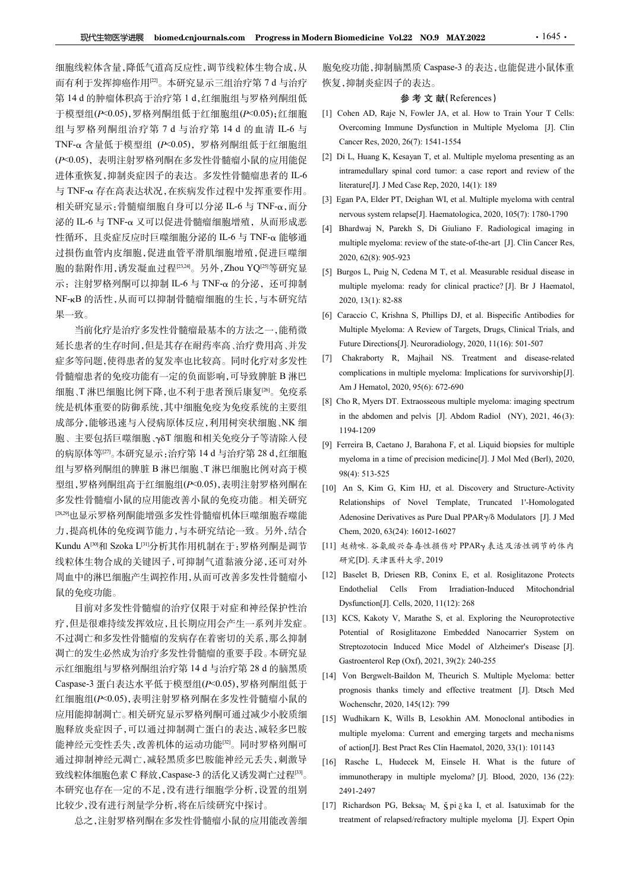细胞线粒体含量,降低气道高反应性,调节线粒体生物合成,从 现代生物医学进展 biomed.cnjournals.com Progress in Modern Biomedicine Vol.22 NO.9 MAY.2022 <br>细胞线粒体含量,降低气道高反应性,调节线粒体生物合成,从 胞免疫功能,抑制脑黑质 Caspase-3 的表达,也能促进小鼠体重<br>而有利于发挥抑癌作用<sup>[2]</sup>。本研究显示三组治疗第 7 d 与治疗 恢复,抑制炎症因子 <sup>第</sup> 14 d 的肿瘤体积高于治疗第 1 d,红细胞组与罗格列酮组低 于模型组(P<0.05),罗格列酮组低于红细胞组(P<0.05);红细胞 [1] Cohen AD, Raje N, Fowler JA, et al. How to Train Your T Cells: **现代生物医学进展 biomed.cnjournals.com Progress in Modern Biomedicine Vol.22 NO.9 MAY.2022 1999 · 1645 · 1649<br>细胞线粒体含量,降低气道高反应性,调节线粒体生物合成,从 胞免疫功能,抑制脑黑质 Caspase-3 的表达,也能促进小鼠体重而有利于发挥抑癌作用。。本研究 1d、有限 - 使复,抑制炎症因子的表达。<br>第 14 d的肿瘤体积高于治疗第** TNF- $\alpha$  含量低于模型组 (P<0.05), 罗格列酮组低于红细胞组 Cancer Res, 2020, 26(7): 1541-1554<br>(P<0.05) 丰田注射罗格列酮右名发性骨髓疱小鼠的应用能很 [2] Di L, Huang K, Kesayan T, et al. Multiple myeloma presenting as an 进体重恢复,抑制炎症因子的表达。多发性骨髓瘤患者的 IL-6 miramequiary spinal cord tumor: a case rep<br>- F. T. T. 方方言为此以及方向的发达和力仍恢示严格的 mirature[J]. J Med Case Rep, 2020, 14(1): 189 与 TNF-琢 存在高表达状况,在疾病发作过程中发挥重要作用。 相关研究显示:骨髓瘤细胞自身可以分泌 IL-6 与 TNF-α, 而分<br>nervous system relapse[J]. Haematologica, 2020, 105(7): 1780-1790 泌的 IL-6 与 TNF-α 又可以促进骨髓瘤细胞增殖, 从而形成恶 [4] Bhardwai N, Parekh S, Di Giuliano F, Radiological imaging in 过损伤血管内皮细胞,促进血管平滑肌细胞增殖,促进巨噬细 2020,62(8):905-923 **现代生物医学健康 biomed.cn/ournals.com** Progress in Modern Biomedicine Vo122 NO9 MAY2022 - 1645 · 1645 · 1442<br>细胞线粒体含量,降低气道高反应性,调节装粒体生物合成,从 胞免疫功能,抑制障膜质 Caspase-3 的表达,也能促进小鼠体重型、有子型组成性的高度,在同时,应用的时间,对象对象对象对象对象对象对象对象对象对象对象对象对象对象对象对象 NF-KB 的活性,从而可以抑制骨髓瘤细胞的生长,与本研究结 2020, 13(1): 82-88 果一致。

延长患者的生存时间,但是其存在耐药率高、治疗费用高、并发 Future Directions[J]. Neuroradiology, 2020, 11(16): 501-507 症多等问题,使得患者的复发率也比较高。同时化疗对多发性 [7] Chakraborty R, Majhail NS. Treatment and disease-related 细胞、T 淋巴细胞比例下降,也不利于患者预后康复[26]。免疫系 成部分,能够迅速与入侵病原体反应,利用树突状细胞、NK 细 胞、主要包括巨噬细胞、γδT 细胞和相关免疫分子等清除入侵 [9] Ferreira B, Caetano J, Barahona F, et al. Liquid biopsies for multiple  $\begin{tabular}{ll} \text{$24.10$} & \text{line} & \text{line} & \text{line} & \text{line} & \text{line} & \text{line} & \text{line} & \text{line} & \text{line} & \text{line} & \text{line} & \text{line} & \text{line} & \text{line} & \text{line} & \text{line} & \text{line} & \text{line} & \text{line} & \text{line} & \text{line} & \text{line} & \text{line} & \text{line} & \text{line} & \text{line} & \text{line} & \text{line} & \text{line} & \text{line} & \text{line} & \text{line} & \text{line} & \text$ 组与罗格列酮组的脾脏 B 淋巴细胞、T 淋巴细胞比例对高于模 98(4): 513-525 型组,罗格列酮组高于红细胞组(P<0.05),表明注射罗格列酮在 [10] An S, Kim G, Kim HJ, et al. Discovery and Structure-Activity 力,提高机体的免疫调节能力,与本研究结论一致。另外,结合 alay skin (1998) And Hemato, 2020, Scar and Hemato, The Scalar Scale And Hemato, The Scale And Hemato, The Scale And Hemato, The Scale Content of The Scale Content of The Scale Content of The Scale (Kinner Scale Content 线粒体生物合成的关键因子,可抑制气道黏液分泌,还可对外 研究[D]. 天津医科大学, 2019 周血中的淋巴细胞产生调控作用,从而可改善多发性骨髓瘤小 [12] Baselet B, Driesen RB, Coninx E, et al. Rosiglitazone Protects 鼠的免疫功能。 sing : http://indepthat/indepthat/indepthat/indepthat/indepthat/indepthat/indepthat/indepthat/indepthat/indepthat/indepthat/indepthat/indepthat/indepthat/indepthat/indepthat/indepthat/indepthat/indepthat/indepthat/indept

目前对多发性骨髓瘤的治疗仅限于对症和神经保护性治<br>日息很难共传给资格应、只长期它用个文化、系列并给启用[13] KCS, Kakoty V, Marathe S, et al. Exploring the Neuroprotective 凋亡的发生必然成为治疗多发性骨髓瘤的重要手段。本研究显 The Equipment Application of the Caspase-3 蛋白表达水平低于模型组( $P<0.05$ ),罗格列酮组低于
prognosis thanks timely and effective treatment [J]. Dtsch Med
prognosis thanks timely and effective treatment [J]. Dtsch Med 红细胞组(P<0.05),表明注射罗格列酮在多发性骨髓瘤小鼠的 Wochenschr. 2020, 145(12); 799 应用能抑制凋亡。相关研究显示罗格列酮可通过减少小胶质细 [15] Wudhikarn K, Wills B, Lesokhin AM. Monoclonal antibodies in 能神经元变性丢失,改善机体的运动功能<sup>[32]</sup>。同时罗格列酮可 of action[J]. Best Pract Res Clin Haematol, 2020, 33(1): 101143 通过抑制神经元凋亡,减轻黑质多巴胺能神经元丢失,刺激导 [16] Rasche L, Hudecek M, Einsele H. What is the future of 致线粒体细胞色素 C 释放, Caspase-3 的活化又诱发凋亡过程[33]。 本研究也存在一定的不足,没有进行细胞学分析,设置的组别 比较少,没有进行剂量学分析,将在后续研究中探讨。

胞免疫功能,抑制脑黑质 Caspase-3 的表达,也能促进小鼠体重 恢复,抑制炎症因子的表达。

## 参 考 文 献(References)

- **EXECTE AD, FOREX AD, CONOR ANY.2022**<br>
[1] Cohen AD, Raje N, Fowler JA, et al. How to Train Your T Cells:<br>
(11) Cohen AD, Raje N, Fowler JA, et al. How to Train Your T Cells:<br>
Overcoming Immune Dysfunction in Multiple My
- (P<0.05), 表明注射罗格列酮在多发性骨髓瘤小鼠的应用能促 [2] Di L, Huang K, Kesayan I, et al. Multiple myeloma presenting as an<br>进化贡称复 如制炎疗用乙的志汁,多发性骨髓瘤患者的 IL 6 [1] intramedullary spinal cord tumor: a case report and review of the **Example 2012 NO.9 MAY.2022**<br>
<br>
• 1645<br>
• 疫功能,抑制脑黑质 Caspase-3 的表达, 也能促进小鼠体重<br>
• 参考文 献(References)<br>
Cohen AD, Raje N, Fowler JA, et al. How to Train Your T Cells:<br>
Overcoming Immune Dysfunction in Multiple Myeloma [J]. Cli **Example Folomical Volume Volume Volume Volume Volume Volume Volume Volume Volume Volume Volume Volume Volume V<br>
Capace 7 (7): 1541-1554<br>
Cohen AD, Raje N, Fowler JA, et al. How to Train Your T Cells:<br>
Overcoming Immune** [2] Di L, Huang K, Kesayan T, et al. Multiple myeloma presenting as an iomedicine Vol.22 NO.9 MAY.2022 1645.<br><br>疫功能,抑制脑黑质 Caspase-3 的表达,也能促进小鼠体重,<br><br>.,抑制炎症因子的表达。<br> $\frac{1}{2} \frac{1}{2}$   $\frac{1}{2}$   $\frac{1}{2}$   $\frac{1}{2}$   $\frac{1}{2}$   $\frac{1}{2}$   $\frac{1}{2}$   $\frac{1}{2}$   $\frac{1}{2}$   $\frac{1}{2}$   $\frac{1}{2}$   $\frac{1}{2}$   $\frac{1}{$ **liomedicine Vol.22 NO.9 MAY.2022** · 1645 ·<br><br>疫功能,抑制腕黑质 Caspase-3 的表达, 也能促进小鼠体重,<br>,抑制炎症因子的表达。<br> **参 考 文 献**(References)<br>
Cohen AD, Raje N, Fowler JA, et al. How to Train Your T Cells:<br>
Overcoming Immune Dysfunction in Multipl
	-
- 性循环,且炎症反应时巨噬细胞分泌的 IL-6 与 TNF-α 能够通 multiple myeloma: review of the state-of-the-art [J]. Clin Cancer Res, **Exam Biomedicine Vol.22 NO.9 MAY.2022**<br>
1645 •<br>
胞免疫功能,抑制脑黑质 Caspase-3 的表达,也能促进小鼠体重<br>
恢复,抑制炎症因子的表达。<br>  $\hat{\mathscr{B}} \times \hat{\mathbf{x}}$  (References)<br>
[1] Cohen AD, Raje N, Fowler JA, et al. How to Train Your T Cells:<br>
Overcoming Immu nervous system relapse[J]. Haematologica, 2020, 105(7): 1780-1790 **EVALUAT:** Highly Form **Biomedicine Vol.22 NO.9 MAY.2022** 1645<br> **胞免疫功能, 抑制脑黑质 Caspase-3 的表达, 也能促进小鼠体重**<br>
夜复, 抑制炎症因子的 参考文 献(References)<br>
[1] Cohen AD, Raje N, Fowler JA, et al. How to Train Your T Cells:<br>
Overcoming Im **iomedicine Vol.22 NO.9 MAY.2022** • 1645 • 1645 • 1645 • 1645 • 1645 • 1645 • 1645 • 1645 • 1645 • 1645 • 1645 • 1645 • 1645 • 1645 • 1645 • 1645 • 1645 • 1645 • 1645 • 1645 • 1645 • 1645 • 1645 • 1645 • 1645 • 1645 • 16 **Example 19:22 NO.9 MAY.2022** 1645<br>
2.疫功能.抑制腕黑质 Caspase-3 的表达.也能促进小鼠体重<br>
2.抑制炎症因子的表达.<br>
2.神制炎症因子的表达.<br>
2.神制炎症因子、大量、<br>
2. 中心の<br>
2. 中心の 2. 中心の 2. 中心の 2. 中心<br>
2. Overcoming Immune Dysfunction in Multiple Myeloma [J]. Clin<br>
2. Ove [5] Burgos L, Puig N, Cedena M T, et al. Measurable residual disease in multiple myeloma: ready for clinical practice? [J]. Br J Haematol, 2020, 13(1): 82-88 [6] Caraccion C, Caraccio C, Caraccion C, Caraccion C, Caraccion C, Caraccion C, Caraccionis Immuno Dysfunction in Multiple Myeloma [J]. Clin Cherences (1) Cohen AD, Raje N, Fowler JA, et al. How to Train Your T Cells:<br>
O
- 示: 注射罗格列酮可以抑制 IL-6 与 TNF-α 的分泌, 还可抑制 multiple myeloma: ready for clinical practice? [J]. Br J Haematol,
	- 当前化疗是治疗多发性骨髓瘤最基本的方法之一,能稍微
- 骨髓瘤患者的免疫功能有一定的负面影响,可导致脾脏 B 淋巴 complications in multiple myeloma: Implications for survivorship[J].<br>如胸 天洪巴匈胸以例下降, 也不利于患者预后唐复函,免疫系 Am J Hematol, 2020, 95(6): 672-690 *: Ji*(h) 市 - Th) - Th) - Th) - Th) - The Myeloma: The Myeloma: The Myeloma (*D*). Cohen AD, Raje N, Fowler JA, et al. How to Train Your T Cells:<br>
Overcoming Immune Dysfunction in Multiple Myeloma [J]. Clin<br>
Overcoming EXERT THE THE THE RESEASE CREASE CONDITION CONDITION CONDITION CONDITION CONDITIONS (4.1 THE PEACE AND SOCIETY AND MANUST CONDITION CONDITION CONDITION CONDITION CONDITION CONDITION (D. C. III) L, Huang K, Kesayan T, et a [7] Cohen AD, Raje X at Fitly  $\mathcal{R}_2$  and  $\mathcal{R}_2$  and  $\mathcal{R}_3$  conter IA, et al. How to Train Your T Cells:<br>Overcoming Immune Dysfunction in Multiple Myeloma [J]. Clin<br>Cancer Res, 2020, 26(7): 1541-1554<br>[2] Di L, Hua **EXAMUATE ANTITUS CONDOM THE CONDOM THE CONDOM CONDOM THE NOT CONDOM CONDOM CONDUCT AND AND CALCLET CONDOM CONDUCT CONDUCT CONDUCT CONDUCT CONDUCT CONDUCT THE CONDUCT CONDUCT THE UNIT CONDUCT CONDUCT THE UNIT CONDUCT CONDU** Cohen AD, Raje N, Fowler JA, et al. How to Train Your T Cells:<br>Overcoming Immune Dysfunction in Multiple Myeloma [J]. Clin<br>Cancer Res, 2020, 26(7): 1541-1554<br>
Cancer Res, 2020, 26(7): 1541-1554<br>
in L, Huang K, Kesayan T, e Overcoming limnune Dystiunction in Multiple Myeloma [J]. Clin<br>
Cancer Res, 2020, 26(7): 1541-1554<br>
Di L, Huang K, Kesayan T, et al. Multiple myeloma presenting as an<br>
intramedullary spinal cord tumor: a case report and rev Cancer Res, 2020, 20(7): 1541-1554<br>
in L, Huang K, Kesayan T, et al. Multiple myeloma presenting as an<br>
intramedullary spinal cord tumor: a case report and review of the<br>
literature[J]. J Med Case Rep, 2020, 14(1): 189<br>
Eg intramedullary spinal cord tumor: a case report and review of the<br>
literature[J]. J Mod Case Rep. 2020, 14(1): 189<br>
Fgan PA, Elder PT, Deighan WI, et al. Multiple myeloma with central<br>
nervous system relapse[J]. Haematolog
- 统是机体重要的防御系统,其中细胞免疫为免疫系统的主要组<br>- https://www.community.community.community.community.community.community.community.community.community.commun<br>- https://www.community.community.community.community.community.community.communit 1194-1209
	-
- 多发性骨髓瘤小鼠的应用能改善小鼠的免疫功能。相关研究 Relationships of Novel Template, Truncated 1'-Homologated <sup>[28,29</sup>也显示罗格列酮能增强多发性骨髓瘤机体巨噬细胞吞噬能 Adenosine Derivatives as Pure Dual PPARy/o Modulators [J]. J Med Iterature[J]. J Med Case Rep, 2020, 14(1): 189<br>
igan PA, Elder PT, Deighan WI, et al. Multiple myeloma with central<br>
igan PA, Elder PT, Deighan WI, et al. Multiple myeloma information<br>
Bhardwaj N, Parekh S, Di Giuliano F. igan PA, Elder PT, Deighan WI, et al. Multiple myeloma with central<br>nervous system relapse[J]. Hacmatologica, 2020, 105(7): 1780-1790<br>Bhardwaj N, Parckh S, Di Giuliano F. Radiological imaging in<br>multiple myeloma: review of nervous system relapse[J]. Haematologica, 2020, 105(7): 1780-1790<br>
[4] Bhardwaj N, Parekh S, Di Giuliano F. Radiological imaging in<br>
multiple myeloma: review of the state-of-the-art [J]. Clin Caneer Res,<br>
2020, 62(8): 905 Bhardwal N, Parekh S, Di Giuliano F. Radiological imaging in<br>
multiple myeloma: review of the state-of-the-art [J]. Clin Caneer Res,<br>
2020, 62(8): 905-923<br>
3urgos L, Puig N, Cedena M T, et al. Measurable residual disease multiple myeloma: revevor the state-of-the-art [J]. Clin Cancer Res,<br>2020, 62(8): 905-923<br>2010, 62(8): 905-923<br>2010, 13(1): 82-88<br>multiple myeloma: ready for clinical practice? [J]. Br J Haematol,<br>2020, 13(1): 82-88<br>Carac 2020, 62(8): 905-923<br>
manyas L, Puig N, Cedena M T, et al. Measurable residual disease in<br>
multiple myelona: ready for clinical practice? [J]. Br J Haematol,<br>
2020, 13(1): 82-88<br>
Caraccio C, Krishna S, Phillips DJ, et al. multiple myeloma: ready for clinical practice? [J]. Br J Haematol,<br>2020, 13(1): 82-88<br>
Caraccio C, Krishna S, Phillips DJ, et al. Bispecific Antibodies for<br>
Multiple Myeloma: A Review of Targets, Drugs, Clinical Trials, a 2020, 13(1): 82-88<br>
[6] Caraccio C, Krishna S, Phillips DJ, et al. Bispecific Antibodies for<br>
[6] Caraccio C, Krishna S, Phillips DJ, et al. Bispecific Antibodies for<br>
Tuture Directions[J]. Neuroradiology, 2020, 11(16): 5 Caraccio C, Krishna S, Phillips DJ, et al. Bispecific Antibodies for<br>Multiple Myeloma: A Review of Targets, Drags, Clinical Trials, and<br>Future Directions[J]. Neuroradiology, 2020, 11(16): 501-507<br>Chakraborty R, Majhail NS
	- [11] 赵精咪. 谷氨酸兴奋毒性损伤对 PPARγ 表达及活性调节的体内
	-
- 疗,但是很难持续发挥效应,且长期应用会产生一系列并发症。 不过凋亡和多发性骨髓瘤的发病存在着密切的关系,那么抑制 Toteman of Rosgmazone Embedded Nanocarier System on<br>The Mathematic Statement of the Mathematic Streptozotocin Induced Mice Model of Alzheimer's Disease [J]. Multiple Myeloma: A Review of Targets, Drugs, Clinical Trials, and<br>Future Direction[5]]. Neuroradiology, 2020, 11(16: 501-507<br>Chakraborty R. Majhail NS. Treatment and discase-related<br>complications in multiple myeloma: Imp Future Directions[J]. Neuroradiology, 2020, 11(16): 501-507<br>
[7] Chakrabotry R, Majhail NS. Treatment and disease-related<br>
complications in multiple myeloma: Implications for survivorship[J].<br>
Am J Hematol, 2020, 95(6): 6 Chakraborty R, Majhail NS. Treatment and disease-related<br>complications in multiple myeloms: Implications for survivorship[J].<br>Am J Hematol, 2020, 95(6): 672-690<br>The R, Myers DT. Extraosseous multiple myeloma: imaging spec complications in multiple myeloma: Implications for survivorship[J].<br>Am J Hematol, 2020, 95(6): 672-690<br>The R, Myers DT. Extraosseous multiple myeloma: imaging spectrum<br>in the abdomen and pelvis [J]. Abdom Radiol (NY), 20 Am J Hematol, 2020, 95(6): 672-690<br>
in Re abdomen and pelvis [J]. Abdom Radiol (NY), 2021, 46(3):<br>
in the abdomen and pelvis [J]. Abdom Radiol (NY), 2021, 46(3):<br>
1194-1209<br>
Ferreira B, Caetano J, Barahona F, et al. Liqui [8] Cho R, Myers DT. Extraosseous multiple myeloma: imaging spectrum<br>
in the abdomen and pelvis [JJ. Abdom Radiol (NY), 2021, 46(3):<br>
[19] Ferrcira B, Caetano J, Barahona F, et al. Liquid biopsics for multiple<br>
myeloma in n the abdomen and pelvis [J]. Abdom Radiol (NY), 2021, 46(3):<br>1194-1209<br>
Perreira B, Caetano J, Barahona F, et al. Liquid biopsies for multiple<br>
myeloma in a time of precision medicine[J]. J Mol Med (Berl), 2020,<br>
98(4): I194-1209<br>
ererrin B, Caetano J, Barahona F, et al. Liquid biopsies for multiple<br>
errychen B, Caetano J, Barahona F, et al. Liquid biopsies for multiple<br>
98(4): 513-525<br>
An S, Kim G, Kim HJ, et al. Discovery and Structure [9] Ferreira B, Caetano J, Barahona F, et al. Liquid biopsies for multiple<br>myelom in a time of precision medicine[J]. J Mol Med (Berl), 2020,<br>98(4): 513-525<br>[10] An S, Kim G, Kim HJ, et al. Discovery and Structure-Activit myeloma in a time of precision medicine[J]. J Mol Med (Berl), 2020,<br>
98(4): 513-525<br>
An S, Kim G, Kim HJ, et al. Discovery and Structure-Activity<br>
Relationships of Novel Template, Truncated 1'-Homologated<br>
Adenosine Deriv 98(4): 513-525<br>
An S, Kim G, Kim HJ, et al. Discovery and Structure-Activity<br>
An S, Kim G, Kim HJ, et al. Discovery and Structure-Activity<br>
Actionships of Novel Template, Trancated 1'-Homologated<br>
Adenosine Derivatives as [10] An S, Kim G, Kim HJ, et al. Discovery and Structure-Activity<br>
Relationships of Novel Termlate, Trancated 1'-Homologated<br>
Adenosine Derivatives as Pure Dual PPAR-yδ Modulators [J]. J Med<br>
Chem, 2020, 63(24): 16012-16 immunotherapy in multiple myeloma? [J]. Blood, 2020, 136 (22): Chem, 2020, 63(24): 16012-16027<br>
[11] 赵精荣, 谷最殿学高寿PPAR<sub>Y</sub> 表达及活性调节的体内<br>
[17] Richardson Process<br>
Endothelial Cells From Irradiation-Induced Mitochondrial<br>
Dysfunction[J]. Cells, 2020, 11(12): 268<br>
[13] KCS, Kakoty V, Marathe 起精味. 分泉競号信奉性損伤对PPARy 表达及活性调节的体内<br>
Frig: [D]. 夫律医科大学, 2019<br>
Baselet B, Driesen RB, Coninx E, et al. Rosiglitazone Protects<br>
Endothelial Cells From Irradiation-Induced Mitochondrial<br>
Dysfunction[J]. Cells, 2020, 11(12): 268
	-
- 胞释放炎症因子,可以通过抑制凋亡蛋白的表达,减轻多巴胺 multiple myeloma: Current and emerging targets and mechanisms
	- immunotherapy in multiple myeloma? [J]. Blood, 2020, 136 (22): 2491-2497
	- 总之,注射罗格列酮在多发性骨髓瘤小鼠的应用能改善细 vreatment of relapsed/refractory multiple myeloma [J]. Expert Opin